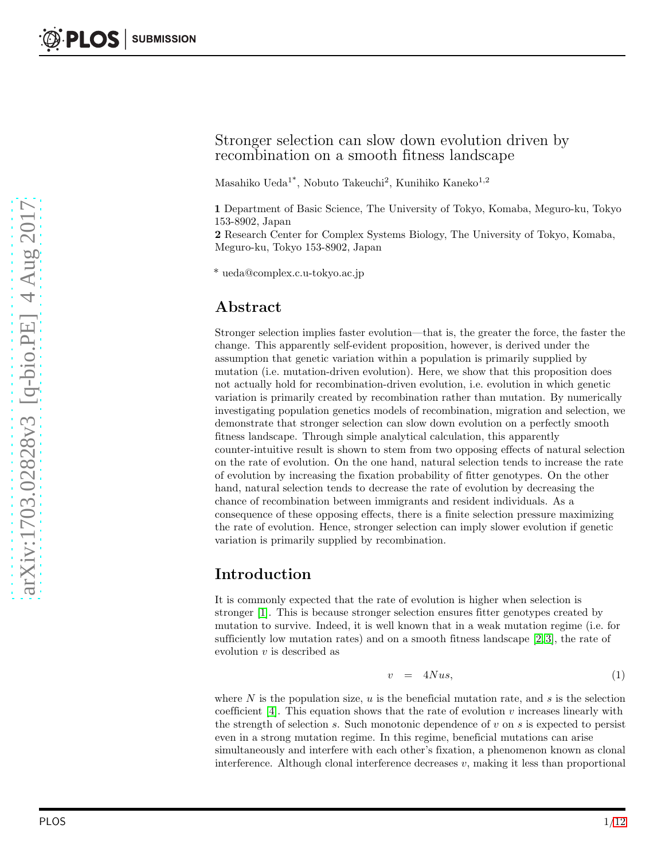#### Stronger selection can slow down evolution driven by recombination on a smooth fitness landscape

Masahiko Ueda<sup>1\*</sup>, Nobuto Takeuchi<sup>2</sup>, Kunihiko Kaneko<sup>1,2</sup>

1 Department of Basic Science, The University of Tokyo, Komaba, Meguro-ku, Tokyo 153-8902, Japan

2 Research Center for Complex Systems Biology, The University of Tokyo, Komaba, Meguro-ku, Tokyo 153-8902, Japan

\* ueda@complex.c.u-tokyo.ac.jp

#### Abstract

Stronger selection implies faster evolution—that is, the greater the force, the faster the change. This apparently self-evident proposition, however, is derived under the assumption that genetic variation within a population is primarily supplied by mutation (i.e. mutation-driven evolution). Here, we show that this proposition does not actually hold for recombination-driven evolution, i.e. evolution in which genetic variation is primarily created by recombination rather than mutation. By numerically investigating population genetics models of recombination, migration and selection, we demonstrate that stronger selection can slow down evolution on a perfectly smooth fitness landscape. Through simple analytical calculation, this apparently counter-intuitive result is shown to stem from two opposing effects of natural selection on the rate of evolution. On the one hand, natural selection tends to increase the rate of evolution by increasing the fixation probability of fitter genotypes. On the other hand, natural selection tends to decrease the rate of evolution by decreasing the chance of recombination between immigrants and resident individuals. As a consequence of these opposing effects, there is a finite selection pressure maximizing the rate of evolution. Hence, stronger selection can imply slower evolution if genetic variation is primarily supplied by recombination.

## Introduction

It is commonly expected that the rate of evolution is higher when selection is stronger [\[1\]](#page-9-0). This is because stronger selection ensures fitter genotypes created by mutation to survive. Indeed, it is well known that in a weak mutation regime (i.e. for sufficiently low mutation rates) and on a smooth fitness landscape  $[2, 3]$  $[2, 3]$ , the rate of evolution  $v$  is described as

<span id="page-0-0"></span>
$$
v = 4Nus,\t(1)
$$

where  $N$  is the population size,  $u$  is the beneficial mutation rate, and  $s$  is the selection coefficient  $[4]$ . This equation shows that the rate of evolution v increases linearly with the strength of selection s. Such monotonic dependence of v on s is expected to persist even in a strong mutation regime. In this regime, beneficial mutations can arise simultaneously and interfere with each other's fixation, a phenomenon known as clonal interference. Although clonal interference decreases  $v$ , making it less than proportional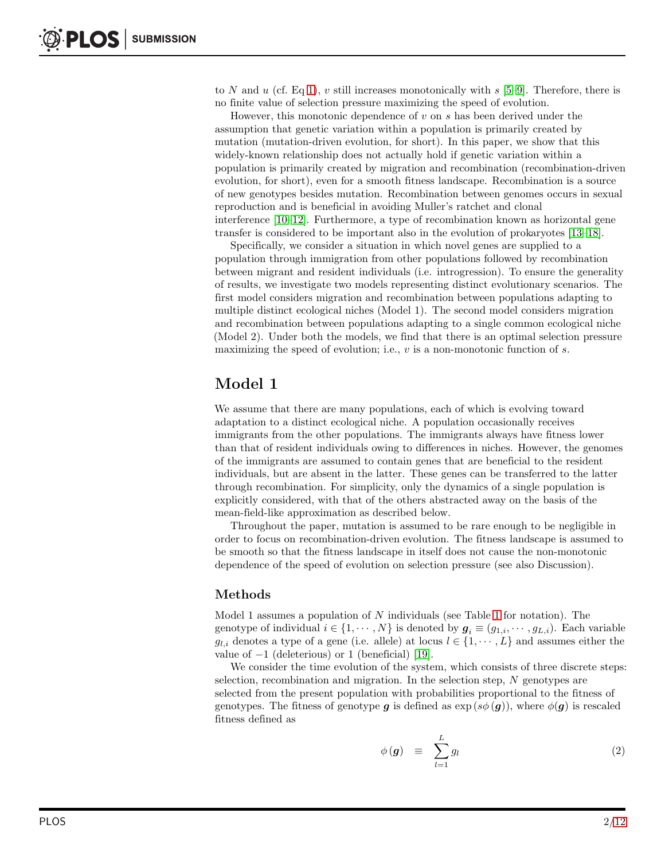to N and u (cf. Eq [1\)](#page-0-0), v still increases monotonically with  $s$  [\[5](#page-9-4)[–9\]](#page-9-5). Therefore, there is no finite value of selection pressure maximizing the speed of evolution.

However, this monotonic dependence of v on s has been derived under the assumption that genetic variation within a population is primarily created by mutation (mutation-driven evolution, for short). In this paper, we show that this widely-known relationship does not actually hold if genetic variation within a population is primarily created by migration and recombination (recombination-driven evolution, for short), even for a smooth fitness landscape. Recombination is a source of new genotypes besides mutation. Recombination between genomes occurs in sexual reproduction and is beneficial in avoiding Muller's ratchet and clonal interference [\[10](#page-10-0)[–12\]](#page-10-1). Furthermore, a type of recombination known as horizontal gene transfer is considered to be important also in the evolution of prokaryotes [\[13](#page-10-2)[–18\]](#page-10-3).

Specifically, we consider a situation in which novel genes are supplied to a population through immigration from other populations followed by recombination between migrant and resident individuals (i.e. introgression). To ensure the generality of results, we investigate two models representing distinct evolutionary scenarios. The first model considers migration and recombination between populations adapting to multiple distinct ecological niches (Model 1). The second model considers migration and recombination between populations adapting to a single common ecological niche (Model 2). Under both the models, we find that there is an optimal selection pressure maximizing the speed of evolution; i.e.,  $v$  is a non-monotonic function of  $s$ .

# Model 1

We assume that there are many populations, each of which is evolving toward adaptation to a distinct ecological niche. A population occasionally receives immigrants from the other populations. The immigrants always have fitness lower than that of resident individuals owing to differences in niches. However, the genomes of the immigrants are assumed to contain genes that are beneficial to the resident individuals, but are absent in the latter. These genes can be transferred to the latter through recombination. For simplicity, only the dynamics of a single population is explicitly considered, with that of the others abstracted away on the basis of the mean-field-like approximation as described below.

Throughout the paper, mutation is assumed to be rare enough to be negligible in order to focus on recombination-driven evolution. The fitness landscape is assumed to be smooth so that the fitness landscape in itself does not cause the non-monotonic dependence of the speed of evolution on selection pressure (see also Discussion).

## Methods

Model [1](#page-2-0) assumes a population of  $N$  individuals (see Table 1 for notation). The genotype of individual  $i \in \{1, \dots, N\}$  is denoted by  $g_i \equiv (g_{1,i}, \dots, g_{L,i})$ . Each variable  $g_{l,i}$  denotes a type of a gene (i.e. allele) at locus  $l \in \{1, \dots, L\}$  and assumes either the value of  $-1$  (deleterious) or 1 (beneficial) [\[19\]](#page-10-4).

We consider the time evolution of the system, which consists of three discrete steps: selection, recombination and migration. In the selection step,  $N$  genotypes are selected from the present population with probabilities proportional to the fitness of genotypes. The fitness of genotype q is defined as  $\exp(s\phi(q))$ , where  $\phi(q)$  is rescaled fitness defined as

<span id="page-1-0"></span>
$$
\phi(g) \equiv \sum_{l=1}^{L} g_l \tag{2}
$$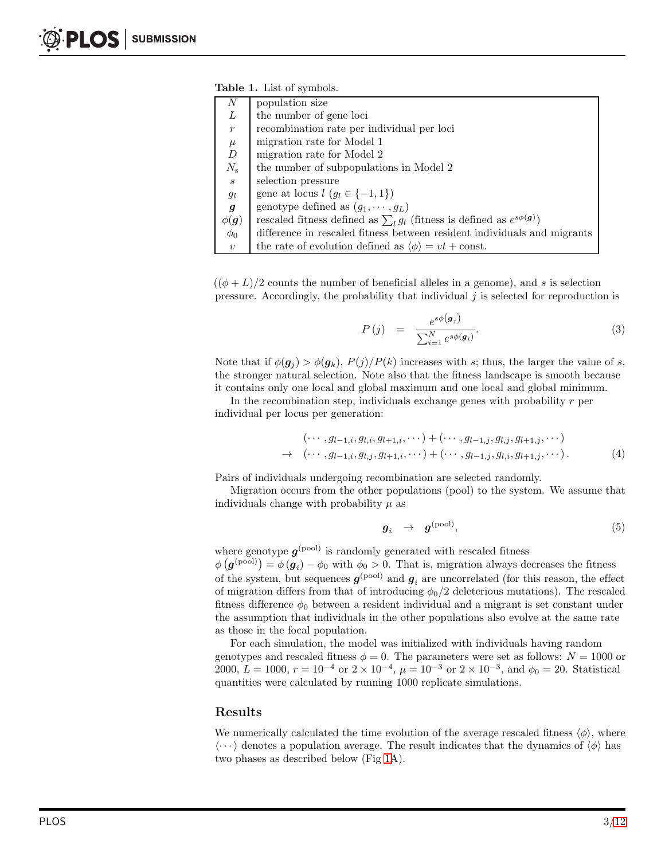<span id="page-2-0"></span>

| N                | population size                                                                    |
|------------------|------------------------------------------------------------------------------------|
| L                | the number of gene loci                                                            |
| $\overline{r}$   | recombination rate per individual per loci                                         |
| $\mu$            | migration rate for Model 1                                                         |
| $\boldsymbol{D}$ | migration rate for Model 2                                                         |
| $N_{\rm s}$      | the number of subpopulations in Model 2                                            |
| $\boldsymbol{s}$ | selection pressure                                                                 |
| $g_{l}$          | gene at locus $l$ $(g_l \in \{-1, 1\})$                                            |
| $\boldsymbol{g}$ | genotype defined as $(g_1, \dots, g_L)$                                            |
| $\phi(\bm{g})$   | rescaled fitness defined as $\sum_{l} g_l$ (fitness is defined as $e^{s\phi(g)}$ ) |
| $\phi_0$         | difference in rescaled fitness between resident individuals and migrants           |
| $\boldsymbol{v}$ | the rate of evolution defined as $\langle \phi \rangle = vt + \text{const.}$       |

 $((\phi + L)/2$  counts the number of beneficial alleles in a genome), and s is selection pressure. Accordingly, the probability that individual  $j$  is selected for reproduction is

<span id="page-2-1"></span>
$$
P(j) = \frac{e^{s\phi(\boldsymbol{g}_j)}}{\sum_{i=1}^N e^{s\phi(\boldsymbol{g}_i)}}.
$$
\n(3)

Note that if  $\phi(\mathbf{g}_j) > \phi(\mathbf{g}_k)$ ,  $P(j)/P(k)$  increases with s; thus, the larger the value of s, the stronger natural selection. Note also that the fitness landscape is smooth because it contains only one local and global maximum and one local and global minimum.

In the recombination step, individuals exchange genes with probability  $r$  per individual per locus per generation:

<span id="page-2-2"></span>
$$
(\cdots, g_{l-1,i}, g_{l,i}, g_{l+1,i}, \cdots) + (\cdots, g_{l-1,j}, g_{l,j}, g_{l+1,j}, \cdots)
$$
  
\n
$$
\rightarrow (\cdots, g_{l-1,i}, g_{l,j}, g_{l+1,i}, \cdots) + (\cdots, g_{l-1,j}, g_{l,i}, g_{l+1,j}, \cdots). \tag{4}
$$

Pairs of individuals undergoing recombination are selected randomly.

Migration occurs from the other populations (pool) to the system. We assume that individuals change with probability  $\mu$  as

$$
g_i \rightarrow g^{\text{(pool)}}, \tag{5}
$$

where genotype  $g^{(\text{pool})}$  is randomly generated with rescaled fitness

 $\phi\left(\boldsymbol{g}^{\text{(pool)}}\right) = \phi\left(\boldsymbol{g}_i\right) - \phi_0$  with  $\phi_0 > 0$ . That is, migration always decreases the fitness of the system, but sequences  $g^{\text{(pool)}}$  and  $g_i$  are uncorrelated (for this reason, the effect of migration differs from that of introducing  $\phi_0/2$  deleterious mutations). The rescaled fitness difference  $\phi_0$  between a resident individual and a migrant is set constant under the assumption that individuals in the other populations also evolve at the same rate as those in the focal population.

For each simulation, the model was initialized with individuals having random genotypes and rescaled fitness  $\phi = 0$ . The parameters were set as follows:  $N = 1000$  or  $2000, L = 1000, r = 10^{-4}$  or  $2 \times 10^{-4}, \mu = 10^{-3}$  or  $2 \times 10^{-3}$ , and  $\phi_0 = 20$ . Statistical quantities were calculated by running 1000 replicate simulations.

#### Results

We numerically calculated the time evolution of the average rescaled fitness  $\langle \phi \rangle$ , where  $\langle \cdots \rangle$  denotes a population average. The result indicates that the dynamics of  $\langle \phi \rangle$  has two phases as described below (Fig [1A](#page-4-0)).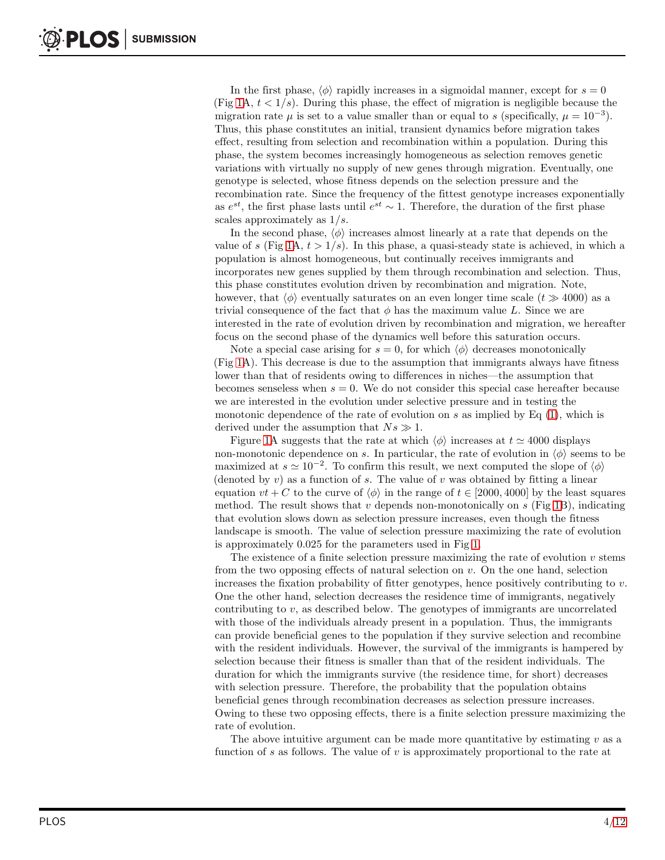In the first phase,  $\langle \phi \rangle$  rapidly increases in a sigmoidal manner, except for  $s = 0$ (Fig [1A](#page-4-0),  $t < 1/s$ ). During this phase, the effect of migration is negligible because the migration rate  $\mu$  is set to a value smaller than or equal to s (specifically,  $\mu = 10^{-3}$ ). Thus, this phase constitutes an initial, transient dynamics before migration takes effect, resulting from selection and recombination within a population. During this phase, the system becomes increasingly homogeneous as selection removes genetic variations with virtually no supply of new genes through migration. Eventually, one genotype is selected, whose fitness depends on the selection pressure and the recombination rate. Since the frequency of the fittest genotype increases exponentially as  $e^{st}$ , the first phase lasts until  $e^{st} \sim 1$ . Therefore, the duration of the first phase scales approximately as 1/s.

In the second phase,  $\langle \phi \rangle$  increases almost linearly at a rate that depends on the value of s (Fig [1A](#page-4-0),  $t > 1/s$ ). In this phase, a quasi-steady state is achieved, in which a population is almost homogeneous, but continually receives immigrants and incorporates new genes supplied by them through recombination and selection. Thus, this phase constitutes evolution driven by recombination and migration. Note, however, that  $\langle \phi \rangle$  eventually saturates on an even longer time scale  $(t \gg 4000)$  as a trivial consequence of the fact that  $\phi$  has the maximum value L. Since we are interested in the rate of evolution driven by recombination and migration, we hereafter focus on the second phase of the dynamics well before this saturation occurs.

Note a special case arising for  $s = 0$ , for which  $\langle \phi \rangle$  decreases monotonically (Fig [1A](#page-4-0)). This decrease is due to the assumption that immigrants always have fitness lower than that of residents owing to differences in niches—the assumption that becomes senseless when  $s = 0$ . We do not consider this special case hereafter because we are interested in the evolution under selective pressure and in testing the monotonic dependence of the rate of evolution on s as implied by Eq  $(1)$ , which is derived under the assumption that  $Ns \gg 1$ .

Figure [1A](#page-4-0) suggests that the rate at which  $\langle \phi \rangle$  increases at  $t \approx 4000$  displays non-monotonic dependence on s. In particular, the rate of evolution in  $\langle \phi \rangle$  seems to be maximized at  $s \simeq 10^{-2}$ . To confirm this result, we next computed the slope of  $\langle \phi \rangle$ (denoted by  $v$ ) as a function of s. The value of v was obtained by fitting a linear equation  $vt + C$  to the curve of  $\langle \phi \rangle$  in the range of  $t \in [2000, 4000]$  by the least squares method. The result shows that v depends non-monotonically on  $s$  (Fig [1B](#page-4-0)), indicating that evolution slows down as selection pressure increases, even though the fitness landscape is smooth. The value of selection pressure maximizing the rate of evolution is approximately 0.025 for the parameters used in Fig [1.](#page-4-0)

The existence of a finite selection pressure maximizing the rate of evolution  $v$  stems from the two opposing effects of natural selection on  $v$ . On the one hand, selection increases the fixation probability of fitter genotypes, hence positively contributing to  $v$ . One the other hand, selection decreases the residence time of immigrants, negatively contributing to v, as described below. The genotypes of immigrants are uncorrelated with those of the individuals already present in a population. Thus, the immigrants can provide beneficial genes to the population if they survive selection and recombine with the resident individuals. However, the survival of the immigrants is hampered by selection because their fitness is smaller than that of the resident individuals. The duration for which the immigrants survive (the residence time, for short) decreases with selection pressure. Therefore, the probability that the population obtains beneficial genes through recombination decreases as selection pressure increases. Owing to these two opposing effects, there is a finite selection pressure maximizing the rate of evolution.

The above intuitive argument can be made more quantitative by estimating  $v$  as a function of s as follows. The value of  $v$  is approximately proportional to the rate at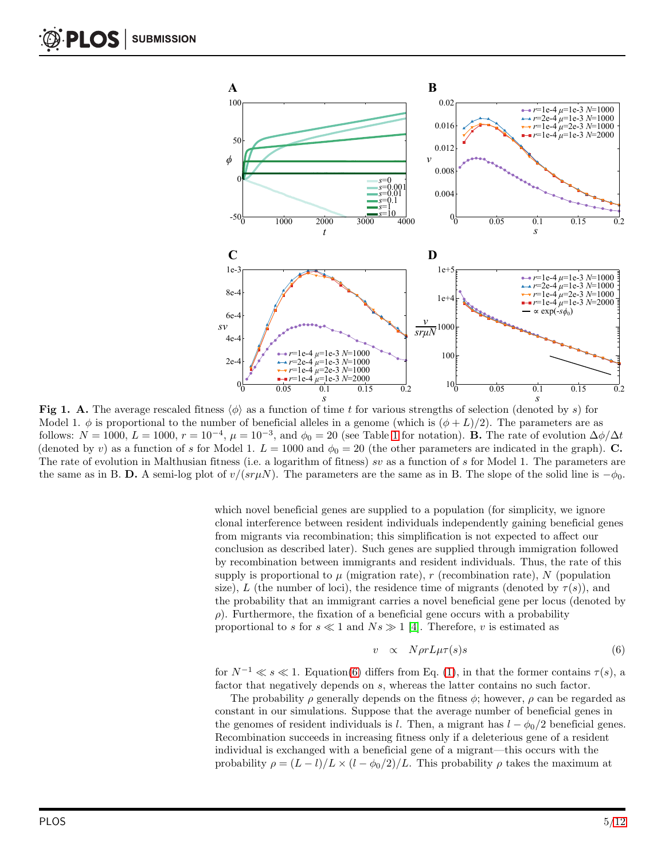<span id="page-4-0"></span>

Fig 1. A. The average rescaled fitness  $\langle \phi \rangle$  as a function of time t for various strengths of selection (denoted by s) for Model 1.  $\phi$  is proportional to the number of beneficial alleles in a genome (which is  $(\phi + L)/2$ ). The parameters are as follows:  $N = 1000, L = 1000, r = 10^{-4}, \mu = 10^{-3}$  $N = 1000, L = 1000, r = 10^{-4}, \mu = 10^{-3}$  $N = 1000, L = 1000, r = 10^{-4}, \mu = 10^{-3}$ , and  $\phi_0 = 20$  (see Table 1 for notation). **B.** The rate of evolution  $\Delta \phi / \Delta t$ (denoted by v) as a function of s for Model 1.  $L = 1000$  and  $\phi_0 = 20$  (the other parameters are indicated in the graph). C. The rate of evolution in Malthusian fitness (i.e. a logarithm of fitness) sv as a function of s for Model 1. The parameters are the same as in B. D. A semi-log plot of  $v/(sr\mu N)$ . The parameters are the same as in B. The slope of the solid line is  $-\phi_0$ .

which novel beneficial genes are supplied to a population (for simplicity, we ignore clonal interference between resident individuals independently gaining beneficial genes from migrants via recombination; this simplification is not expected to affect our conclusion as described later). Such genes are supplied through immigration followed by recombination between immigrants and resident individuals. Thus, the rate of this supply is proportional to  $\mu$  (migration rate), r (recombination rate), N (population size), L (the number of loci), the residence time of migrants (denoted by  $\tau(s)$ ), and the probability that an immigrant carries a novel beneficial gene per locus (denoted by  $\rho$ ). Furthermore, the fixation of a beneficial gene occurs with a probability proportional to s for  $s \ll 1$  and  $Ns \gg 1$  [\[4\]](#page-9-3). Therefore, v is estimated as

<span id="page-4-1"></span>
$$
v \propto N \rho r L \mu \tau(s) s \tag{6}
$$

for  $N^{-1} \ll s \ll 1$ . Equation[\(6\)](#page-4-1) differs from Eq. [\(1\)](#page-0-0), in that the former contains  $\tau(s)$ , a factor that negatively depends on s, whereas the latter contains no such factor.

The probability  $\rho$  generally depends on the fitness  $\phi$ ; however,  $\rho$  can be regarded as constant in our simulations. Suppose that the average number of beneficial genes in the genomes of resident individuals is l. Then, a migrant has  $l - \phi_0/2$  beneficial genes. Recombination succeeds in increasing fitness only if a deleterious gene of a resident individual is exchanged with a beneficial gene of a migrant—this occurs with the probability  $\rho = (L - l)/L \times (l - \phi_0/2)/L$ . This probability  $\rho$  takes the maximum at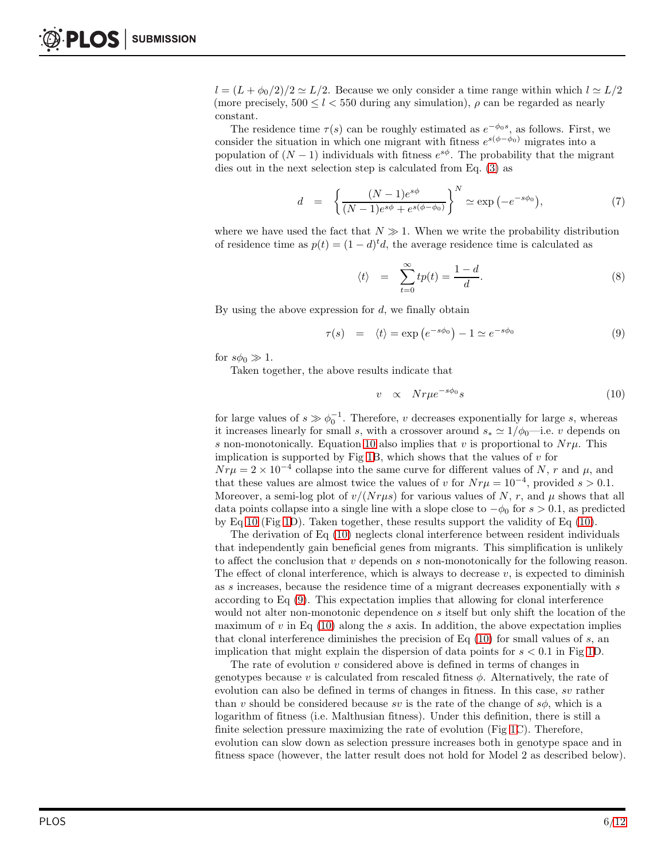$l = (L + \phi_0/2)/2 \simeq L/2$ . Because we only consider a time range within which  $l \simeq L/2$ (more precisely,  $500 \le l < 550$  during any simulation),  $\rho$  can be regarded as nearly constant.

The residence time  $\tau(s)$  can be roughly estimated as  $e^{-\phi_0 s}$ , as follows. First, we consider the situation in which one migrant with fitness  $e^{s(\phi - \phi_0)}$  migrates into a population of  $(N-1)$  individuals with fitness  $e^{s\phi}$ . The probability that the migrant dies out in the next selection step is calculated from Eq. [\(3\)](#page-2-1) as

$$
d = \left\{ \frac{(N-1)e^{s\phi}}{(N-1)e^{s\phi} + e^{s(\phi-\phi_0)}} \right\}^N \simeq \exp(-e^{-s\phi_0}), \tag{7}
$$

where we have used the fact that  $N \gg 1$ . When we write the probability distribution of residence time as  $p(t) = (1 - d)^t d$ , the average residence time is calculated as

$$
\langle t \rangle = \sum_{t=0}^{\infty} t p(t) = \frac{1-d}{d}.
$$
 (8)

By using the above expression for  $d$ , we finally obtain

<span id="page-5-1"></span>
$$
\tau(s) = \langle t \rangle = \exp(e^{-s\phi_0}) - 1 \simeq e^{-s\phi_0} \tag{9}
$$

for  $s\phi_0 \gg 1$ .

Taken together, the above results indicate that

<span id="page-5-0"></span>
$$
v \propto N r \mu e^{-s\phi_0} s \tag{10}
$$

for large values of  $s \gg \phi_0^{-1}$ . Therefore, v decreases exponentially for large s, whereas it increases linearly for small s, with a crossover around  $s_* \approx 1/\phi_0$ —i.e. v depends on s non-monotonically. Equation [10](#page-5-0) also implies that v is proportional to  $Nru$ . This implication is supported by Fig [1B](#page-4-0), which shows that the values of  $v$  for  $Nr\mu = 2 \times 10^{-4}$  collapse into the same curve for different values of N, r and  $\mu$ , and that these values are almost twice the values of v for  $Nr\mu = 10^{-4}$ , provided s > 0.1. Moreover, a semi-log plot of  $v/(Nr\mu s)$  for various values of N, r, and  $\mu$  shows that all data points collapse into a single line with a slope close to  $-\phi_0$  for  $s > 0.1$ , as predicted by Eq [10](#page-5-0) (Fig [1D](#page-4-0)). Taken together, these results support the validity of Eq  $(10)$ .

The derivation of Eq [\(10\)](#page-5-0) neglects clonal interference between resident individuals that independently gain beneficial genes from migrants. This simplification is unlikely to affect the conclusion that  $v$  depends on  $s$  non-monotonically for the following reason. The effect of clonal interference, which is always to decrease  $v$ , is expected to diminish as s increases, because the residence time of a migrant decreases exponentially with s according to Eq [\(9\)](#page-5-1). This expectation implies that allowing for clonal interference would not alter non-monotonic dependence on s itself but only shift the location of the maximum of  $v$  in Eq [\(10\)](#page-5-0) along the  $s$  axis. In addition, the above expectation implies that clonal interference diminishes the precision of Eq  $(10)$  for small values of s, an implication that might explain the dispersion of data points for  $s < 0.1$  in Fig [1D](#page-4-0).

The rate of evolution  $v$  considered above is defined in terms of changes in genotypes because v is calculated from rescaled fitness  $\phi$ . Alternatively, the rate of evolution can also be defined in terms of changes in fitness. In this case, sv rather than v should be considered because sv is the rate of the change of  $s\phi$ , which is a logarithm of fitness (i.e. Malthusian fitness). Under this definition, there is still a finite selection pressure maximizing the rate of evolution (Fig [1C](#page-4-0)). Therefore, evolution can slow down as selection pressure increases both in genotype space and in fitness space (however, the latter result does not hold for Model 2 as described below).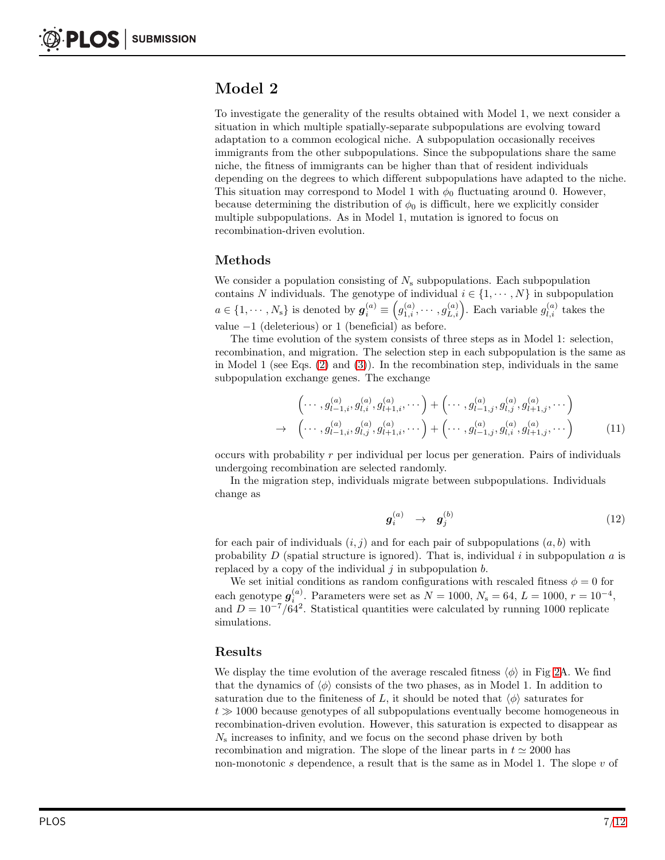# Model 2

To investigate the generality of the results obtained with Model 1, we next consider a situation in which multiple spatially-separate subpopulations are evolving toward adaptation to a common ecological niche. A subpopulation occasionally receives immigrants from the other subpopulations. Since the subpopulations share the same niche, the fitness of immigrants can be higher than that of resident individuals depending on the degrees to which different subpopulations have adapted to the niche. This situation may correspond to Model 1 with  $\phi_0$  fluctuating around 0. However, because determining the distribution of  $\phi_0$  is difficult, here we explicitly consider multiple subpopulations. As in Model 1, mutation is ignored to focus on recombination-driven evolution.

## Methods

We consider a population consisting of  $N_s$  subpopulations. Each subpopulation contains N individuals. The genotype of individual  $i \in \{1, \dots, N\}$  in subpopulation  $a \in \{1, \cdots, N_s\}$  is denoted by  $g_i^{(a)} \equiv (g_{1,i}^{(a)}, \cdots, g_{L,i}^{(a)})$ . Each variable  $g_{l,i}^{(a)}$  takes the value  $-1$  (deleterious) or 1 (beneficial) as before.

The time evolution of the system consists of three steps as in Model 1: selection, recombination, and migration. The selection step in each subpopulation is the same as in Model 1 (see Eqs.  $(2)$  and  $(3)$ ). In the recombination step, individuals in the same subpopulation exchange genes. The exchange

$$
\begin{pmatrix}\n\cdots, g_{l-1,i}^{(a)}, g_{l,i}^{(a)}, g_{l+1,i}^{(a)}, \cdots\n\end{pmatrix} + \begin{pmatrix}\n\cdots, g_{l-1,j}^{(a)}, g_{l,j}^{(a)}, g_{l+1,j}^{(a)}, \cdots\n\end{pmatrix}
$$
\n
$$
\rightarrow \begin{pmatrix}\n\cdots, g_{l-1,i}^{(a)}, g_{l,j}^{(a)}, g_{l+1,i}^{(a)}, \cdots\n\end{pmatrix} + \begin{pmatrix}\n\cdots, g_{l-1,j}^{(a)}, g_{l,i}^{(a)}, g_{l+1,j}^{(a)}, \cdots\n\end{pmatrix}
$$
\n(11)

occurs with probability r per individual per locus per generation. Pairs of individuals undergoing recombination are selected randomly.

In the migration step, individuals migrate between subpopulations. Individuals change as

$$
\boldsymbol{g}_i^{(a)} \quad \rightarrow \quad \boldsymbol{g}_j^{(b)} \tag{12}
$$

for each pair of individuals  $(i, j)$  and for each pair of subpopulations  $(a, b)$  with probability  $D$  (spatial structure is ignored). That is, individual i in subpopulation  $a$  is replaced by a copy of the individual  $j$  in subpopulation  $b$ .

We set initial conditions as random configurations with rescaled fitness  $\phi = 0$  for each genotype  $g_i^{(a)}$ . Parameters were set as  $N = 1000, N_s = 64, L = 1000, r = 10^{-4},$ and  $D = 10^{-7}/64^2$ . Statistical quantities were calculated by running 1000 replicate simulations.

## Results

We display the time evolution of the average rescaled fitness  $\langle \phi \rangle$  in Fig [2A](#page-7-0). We find that the dynamics of  $\langle \phi \rangle$  consists of the two phases, as in Model 1. In addition to saturation due to the finiteness of L, it should be noted that  $\langle \phi \rangle$  saturates for  $t \gg 1000$  because genotypes of all subpopulations eventually become homogeneous in recombination-driven evolution. However, this saturation is expected to disappear as  $N<sub>s</sub>$  increases to infinity, and we focus on the second phase driven by both recombination and migration. The slope of the linear parts in  $t \approx 2000$  has non-monotonic s dependence, a result that is the same as in Model 1. The slope  $v$  of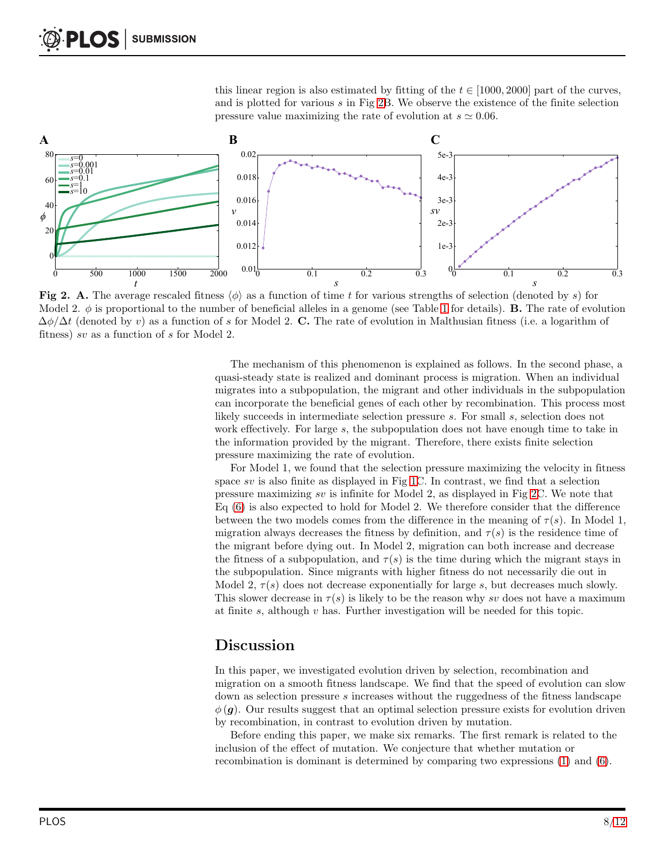<span id="page-7-0"></span>this linear region is also estimated by fitting of the  $t \in [1000, 2000]$  part of the curves, and is plotted for various  $s$  in Fig [2B](#page-7-0). We observe the existence of the finite selection pressure value maximizing the rate of evolution at  $s \approx 0.06$ .



Fig 2. A. The average rescaled fitness  $\langle \phi \rangle$  as a function of time t for various strengths of selection (denoted by s) for Model 2.  $\phi$  is proportional to the number of beneficial alleles in a genome (see Table [1](#page-2-0) for details). **B.** The rate of evolution  $\Delta\phi/\Delta t$  (denoted by v) as a function of s for Model 2. C. The rate of evolution in Malthusian fitness (i.e. a logarithm of fitness) sv as a function of s for Model 2.

The mechanism of this phenomenon is explained as follows. In the second phase, a quasi-steady state is realized and dominant process is migration. When an individual migrates into a subpopulation, the migrant and other individuals in the subpopulation can incorporate the beneficial genes of each other by recombination. This process most likely succeeds in intermediate selection pressure s. For small s, selection does not work effectively. For large s, the subpopulation does not have enough time to take in the information provided by the migrant. Therefore, there exists finite selection pressure maximizing the rate of evolution.

For Model 1, we found that the selection pressure maximizing the velocity in fitness space sv is also finite as displayed in Fig [1C](#page-4-0). In contrast, we find that a selection pressure maximizing sv is infinite for Model 2, as displayed in Fig [2C](#page-7-0). We note that Eq [\(6\)](#page-4-1) is also expected to hold for Model 2. We therefore consider that the difference between the two models comes from the difference in the meaning of  $\tau(s)$ . In Model 1, migration always decreases the fitness by definition, and  $\tau(s)$  is the residence time of the migrant before dying out. In Model 2, migration can both increase and decrease the fitness of a subpopulation, and  $\tau(s)$  is the time during which the migrant stays in the subpopulation. Since migrants with higher fitness do not necessarily die out in Model 2,  $\tau(s)$  does not decrease exponentially for large s, but decreases much slowly. This slower decrease in  $\tau(s)$  is likely to be the reason why sv does not have a maximum at finite s, although  $v$  has. Further investigation will be needed for this topic.

## Discussion

In this paper, we investigated evolution driven by selection, recombination and migration on a smooth fitness landscape. We find that the speed of evolution can slow down as selection pressure s increases without the ruggedness of the fitness landscape  $\phi(\mathbf{g})$ . Our results suggest that an optimal selection pressure exists for evolution driven by recombination, in contrast to evolution driven by mutation.

Before ending this paper, we make six remarks. The first remark is related to the inclusion of the effect of mutation. We conjecture that whether mutation or recombination is dominant is determined by comparing two expressions [\(1\)](#page-0-0) and [\(6\)](#page-4-1).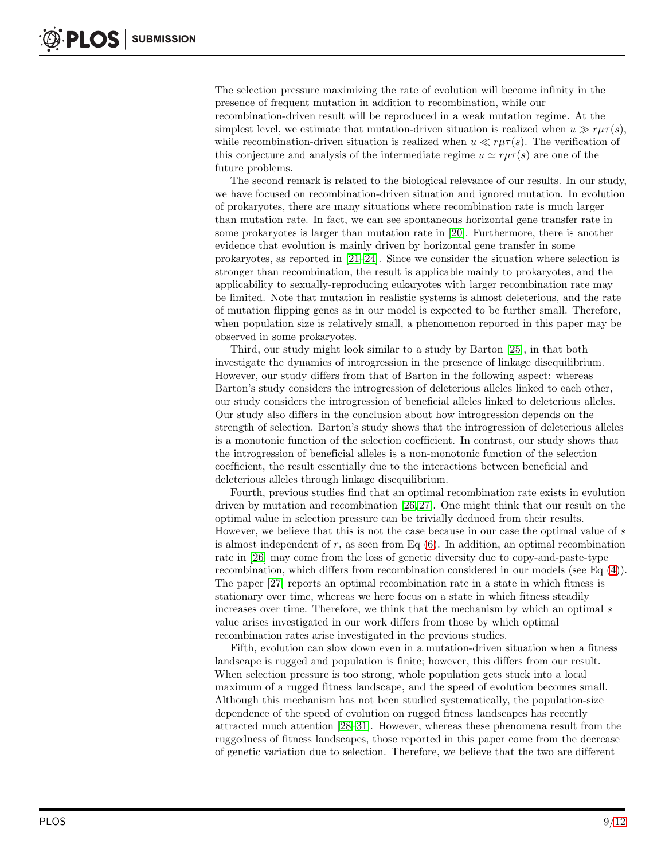The selection pressure maximizing the rate of evolution will become infinity in the presence of frequent mutation in addition to recombination, while our recombination-driven result will be reproduced in a weak mutation regime. At the simplest level, we estimate that mutation-driven situation is realized when  $u \gg r \mu \tau(s)$ , while recombination-driven situation is realized when  $u \ll r\mu\tau(s)$ . The verification of this conjecture and analysis of the intermediate regime  $u \simeq r\mu\tau(s)$  are one of the future problems.

The second remark is related to the biological relevance of our results. In our study, we have focused on recombination-driven situation and ignored mutation. In evolution of prokaryotes, there are many situations where recombination rate is much larger than mutation rate. In fact, we can see spontaneous horizontal gene transfer rate in some prokaryotes is larger than mutation rate in [\[20\]](#page-10-5). Furthermore, there is another evidence that evolution is mainly driven by horizontal gene transfer in some prokaryotes, as reported in  $[21-24]$ . Since we consider the situation where selection is stronger than recombination, the result is applicable mainly to prokaryotes, and the applicability to sexually-reproducing eukaryotes with larger recombination rate may be limited. Note that mutation in realistic systems is almost deleterious, and the rate of mutation flipping genes as in our model is expected to be further small. Therefore, when population size is relatively small, a phenomenon reported in this paper may be observed in some prokaryotes.

Third, our study might look similar to a study by Barton [\[25\]](#page-10-8), in that both investigate the dynamics of introgression in the presence of linkage disequilibrium. However, our study differs from that of Barton in the following aspect: whereas Barton's study considers the introgression of deleterious alleles linked to each other, our study considers the introgression of beneficial alleles linked to deleterious alleles. Our study also differs in the conclusion about how introgression depends on the strength of selection. Barton's study shows that the introgression of deleterious alleles is a monotonic function of the selection coefficient. In contrast, our study shows that the introgression of beneficial alleles is a non-monotonic function of the selection coefficient, the result essentially due to the interactions between beneficial and deleterious alleles through linkage disequilibrium.

Fourth, previous studies find that an optimal recombination rate exists in evolution driven by mutation and recombination [\[26,](#page-10-9) [27\]](#page-10-10). One might think that our result on the optimal value in selection pressure can be trivially deduced from their results. However, we believe that this is not the case because in our case the optimal value of s is almost independent of  $r$ , as seen from Eq  $(6)$ . In addition, an optimal recombination rate in [\[26\]](#page-10-9) may come from the loss of genetic diversity due to copy-and-paste-type recombination, which differs from recombination considered in our models (see Eq [\(4\)](#page-2-2)). The paper [\[27\]](#page-10-10) reports an optimal recombination rate in a state in which fitness is stationary over time, whereas we here focus on a state in which fitness steadily increases over time. Therefore, we think that the mechanism by which an optimal s value arises investigated in our work differs from those by which optimal recombination rates arise investigated in the previous studies.

Fifth, evolution can slow down even in a mutation-driven situation when a fitness landscape is rugged and population is finite; however, this differs from our result. When selection pressure is too strong, whole population gets stuck into a local maximum of a rugged fitness landscape, and the speed of evolution becomes small. Although this mechanism has not been studied systematically, the population-size dependence of the speed of evolution on rugged fitness landscapes has recently attracted much attention [\[28](#page-11-1)[–31\]](#page-11-2). However, whereas these phenomena result from the ruggedness of fitness landscapes, those reported in this paper come from the decrease of genetic variation due to selection. Therefore, we believe that the two are different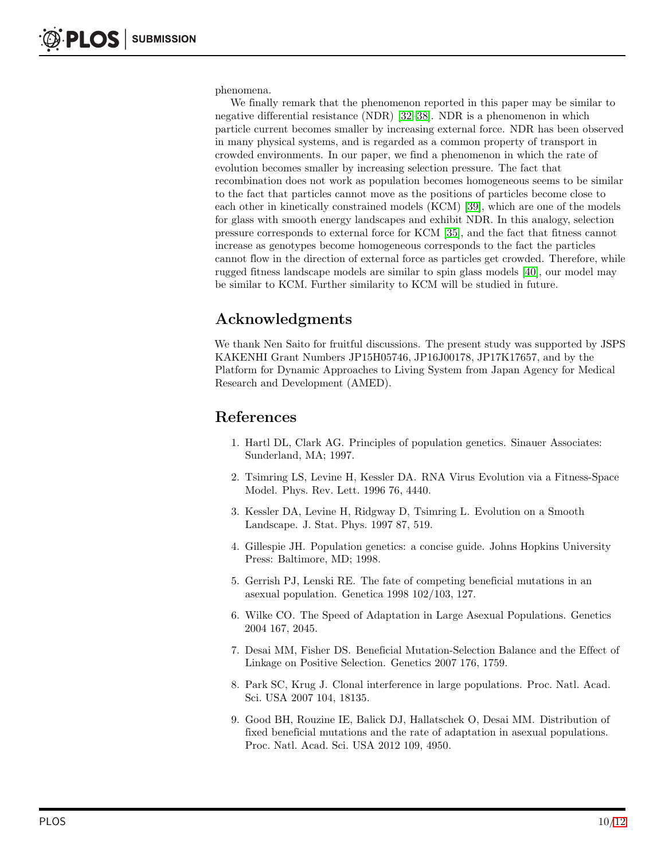phenomena.

We finally remark that the phenomenon reported in this paper may be similar to negative differential resistance (NDR) [\[32](#page-11-3)[–38\]](#page-11-4). NDR is a phenomenon in which particle current becomes smaller by increasing external force. NDR has been observed in many physical systems, and is regarded as a common property of transport in crowded environments. In our paper, we find a phenomenon in which the rate of evolution becomes smaller by increasing selection pressure. The fact that recombination does not work as population becomes homogeneous seems to be similar to the fact that particles cannot move as the positions of particles become close to each other in kinetically constrained models (KCM) [\[39\]](#page-11-5), which are one of the models for glass with smooth energy landscapes and exhibit NDR. In this analogy, selection pressure corresponds to external force for KCM [\[35\]](#page-11-6), and the fact that fitness cannot increase as genotypes become homogeneous corresponds to the fact the particles cannot flow in the direction of external force as particles get crowded. Therefore, while rugged fitness landscape models are similar to spin glass models [\[40\]](#page-11-7), our model may be similar to KCM. Further similarity to KCM will be studied in future.

# Acknowledgments

We thank Nen Saito for fruitful discussions. The present study was supported by JSPS KAKENHI Grant Numbers JP15H05746, JP16J00178, JP17K17657, and by the Platform for Dynamic Approaches to Living System from Japan Agency for Medical Research and Development (AMED).

## <span id="page-9-0"></span>References

- 1. Hartl DL, Clark AG. Principles of population genetics. Sinauer Associates: Sunderland, MA; 1997.
- <span id="page-9-1"></span>2. Tsimring LS, Levine H, Kessler DA. RNA Virus Evolution via a Fitness-Space Model. Phys. Rev. Lett. 1996 76, 4440.
- <span id="page-9-2"></span>3. Kessler DA, Levine H, Ridgway D, Tsimring L. Evolution on a Smooth Landscape. J. Stat. Phys. 1997 87, 519.
- <span id="page-9-3"></span>4. Gillespie JH. Population genetics: a concise guide. Johns Hopkins University Press: Baltimore, MD; 1998.
- <span id="page-9-4"></span>5. Gerrish PJ, Lenski RE. The fate of competing beneficial mutations in an asexual population. Genetica 1998 102/103, 127.
- 6. Wilke CO. The Speed of Adaptation in Large Asexual Populations. Genetics 2004 167, 2045.
- 7. Desai MM, Fisher DS. Beneficial Mutation-Selection Balance and the Effect of Linkage on Positive Selection. Genetics 2007 176, 1759.
- 8. Park SC, Krug J. Clonal interference in large populations. Proc. Natl. Acad. Sci. USA 2007 104, 18135.
- <span id="page-9-5"></span>9. Good BH, Rouzine IE, Balick DJ, Hallatschek O, Desai MM. Distribution of fixed beneficial mutations and the rate of adaptation in asexual populations. Proc. Natl. Acad. Sci. USA 2012 109, 4950.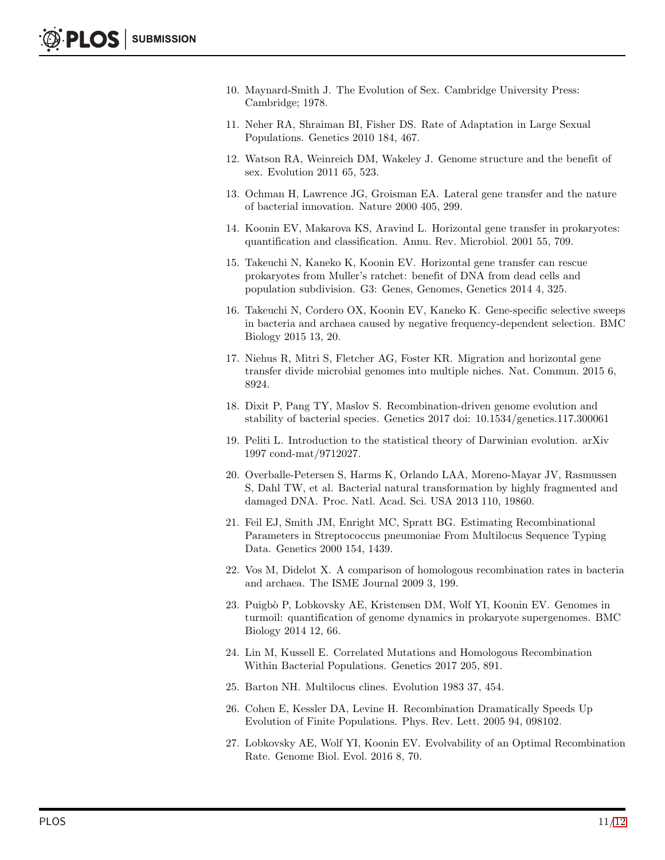- <span id="page-10-0"></span>10. Maynard-Smith J. The Evolution of Sex. Cambridge University Press: Cambridge; 1978.
- <span id="page-10-1"></span>11. Neher RA, Shraiman BI, Fisher DS. Rate of Adaptation in Large Sexual Populations. Genetics 2010 184, 467.
- <span id="page-10-2"></span>12. Watson RA, Weinreich DM, Wakeley J. Genome structure and the benefit of sex. Evolution 2011 65, 523.
- 13. Ochman H, Lawrence JG, Groisman EA. Lateral gene transfer and the nature of bacterial innovation. Nature 2000 405, 299.
- 14. Koonin EV, Makarova KS, Aravind L. Horizontal gene transfer in prokaryotes: quantification and classification. Annu. Rev. Microbiol. 2001 55, 709.
- 15. Takeuchi N, Kaneko K, Koonin EV. Horizontal gene transfer can rescue prokaryotes from Muller's ratchet: benefit of DNA from dead cells and population subdivision. G3: Genes, Genomes, Genetics 2014 4, 325.
- 16. Takeuchi N, Cordero OX, Koonin EV, Kaneko K. Gene-specific selective sweeps in bacteria and archaea caused by negative frequency-dependent selection. BMC Biology 2015 13, 20.
- 17. Niehus R, Mitri S, Fletcher AG, Foster KR. Migration and horizontal gene transfer divide microbial genomes into multiple niches. Nat. Commun. 2015 6, 8924.
- <span id="page-10-3"></span>18. Dixit P, Pang TY, Maslov S. Recombination-driven genome evolution and stability of bacterial species. Genetics 2017 doi: 10.1534/genetics.117.300061
- <span id="page-10-4"></span>19. Peliti L. Introduction to the statistical theory of Darwinian evolution. arXiv 1997 cond-mat/9712027.
- <span id="page-10-5"></span>20. Overballe-Petersen S, Harms K, Orlando LAA, Moreno-Mayar JV, Rasmussen S, Dahl TW, et al. Bacterial natural transformation by highly fragmented and damaged DNA. Proc. Natl. Acad. Sci. USA 2013 110, 19860.
- <span id="page-10-6"></span>21. Feil EJ, Smith JM, Enright MC, Spratt BG. Estimating Recombinational Parameters in Streptococcus pneumoniae From Multilocus Sequence Typing Data. Genetics 2000 154, 1439.
- 22. Vos M, Didelot X. A comparison of homologous recombination rates in bacteria and archaea. The ISME Journal 2009 3, 199.
- 23. Puigb`o P, Lobkovsky AE, Kristensen DM, Wolf YI, Koonin EV. Genomes in turmoil: quantification of genome dynamics in prokaryote supergenomes. BMC Biology 2014 12, 66.
- <span id="page-10-7"></span>24. Lin M, Kussell E. Correlated Mutations and Homologous Recombination Within Bacterial Populations. Genetics 2017 205, 891.
- <span id="page-10-9"></span><span id="page-10-8"></span>25. Barton NH. Multilocus clines. Evolution 1983 37, 454.
- 26. Cohen E, Kessler DA, Levine H. Recombination Dramatically Speeds Up Evolution of Finite Populations. Phys. Rev. Lett. 2005 94, 098102.
- <span id="page-10-10"></span>27. Lobkovsky AE, Wolf YI, Koonin EV. Evolvability of an Optimal Recombination Rate. Genome Biol. Evol. 2016 8, 70.